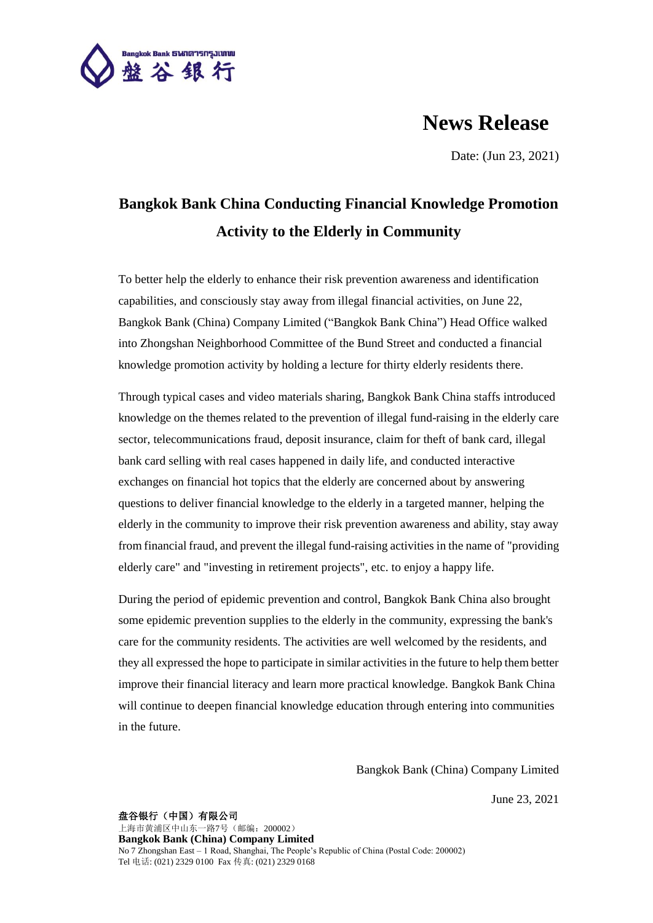

## **News Release**

Date: (Jun 23, 2021)

## **Bangkok Bank China Conducting Financial Knowledge Promotion Activity to the Elderly in Community**

To better help the elderly to enhance their risk prevention awareness and identification capabilities, and consciously stay away from illegal financial activities, on June 22, Bangkok Bank (China) Company Limited ("Bangkok Bank China") Head Office walked into Zhongshan Neighborhood Committee of the Bund Street and conducted a financial knowledge promotion activity by holding a lecture for thirty elderly residents there.

Through typical cases and video materials sharing, Bangkok Bank China staffs introduced knowledge on the themes related to the prevention of illegal fund-raising in the elderly care sector, telecommunications fraud, deposit insurance, claim for theft of bank card, illegal bank card selling with real cases happened in daily life, and conducted interactive exchanges on financial hot topics that the elderly are concerned about by answering questions to deliver financial knowledge to the elderly in a targeted manner, helping the elderly in the community to improve their risk prevention awareness and ability, stay away from financial fraud, and prevent the illegal fund-raising activities in the name of "providing elderly care" and "investing in retirement projects", etc. to enjoy a happy life.

During the period of epidemic prevention and control, Bangkok Bank China also brought some epidemic prevention supplies to the elderly in the community, expressing the bank's care for the community residents. The activities are well welcomed by the residents, and they all expressed the hope to participate in similar activities in the future to help them better improve their financial literacy and learn more practical knowledge. Bangkok Bank China will continue to deepen financial knowledge education through entering into communities in the future.

Bangkok Bank (China) Company Limited

June 23, 2021